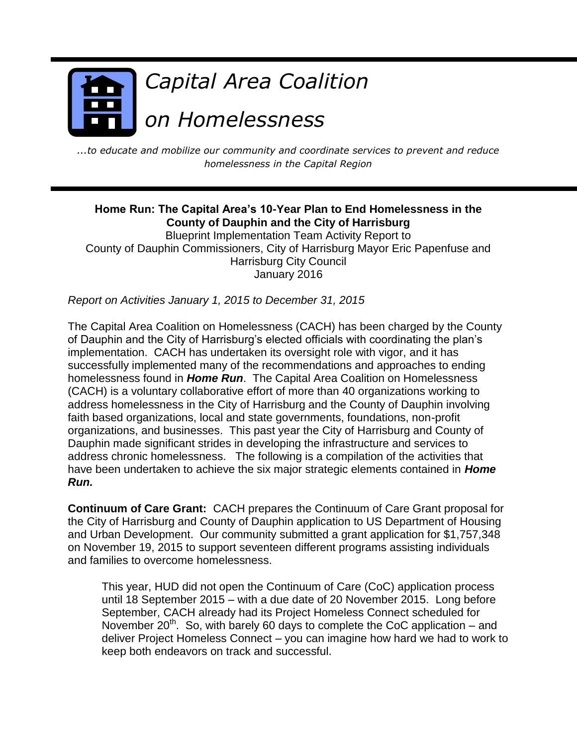

*...to educate and mobilize our community and coordinate services to prevent and reduce homelessness in the Capital Region*

#### **Home Run: The Capital Area's 10-Year Plan to End Homelessness in the County of Dauphin and the City of Harrisburg**

Blueprint Implementation Team Activity Report to County of Dauphin Commissioners, City of Harrisburg Mayor Eric Papenfuse and Harrisburg City Council January 2016

*Report on Activities January 1, 2015 to December 31, 2015*

The Capital Area Coalition on Homelessness (CACH) has been charged by the County of Dauphin and the City of Harrisburg's elected officials with coordinating the plan's implementation. CACH has undertaken its oversight role with vigor, and it has successfully implemented many of the recommendations and approaches to ending homelessness found in *Home Run*. The Capital Area Coalition on Homelessness (CACH) is a voluntary collaborative effort of more than 40 organizations working to address homelessness in the City of Harrisburg and the County of Dauphin involving faith based organizations, local and state governments, foundations, non-profit organizations, and businesses. This past year the City of Harrisburg and County of Dauphin made significant strides in developing the infrastructure and services to address chronic homelessness. The following is a compilation of the activities that have been undertaken to achieve the six major strategic elements contained in *Home Run.*

**Continuum of Care Grant:** CACH prepares the Continuum of Care Grant proposal for the City of Harrisburg and County of Dauphin application to US Department of Housing and Urban Development. Our community submitted a grant application for \$1,757,348 on November 19, 2015 to support seventeen different programs assisting individuals and families to overcome homelessness.

This year, HUD did not open the Continuum of Care (CoC) application process until 18 September 2015 – with a due date of 20 November 2015. Long before September, CACH already had its Project Homeless Connect scheduled for November  $20^{th}$ . So, with barely 60 days to complete the CoC application – and deliver Project Homeless Connect – you can imagine how hard we had to work to keep both endeavors on track and successful.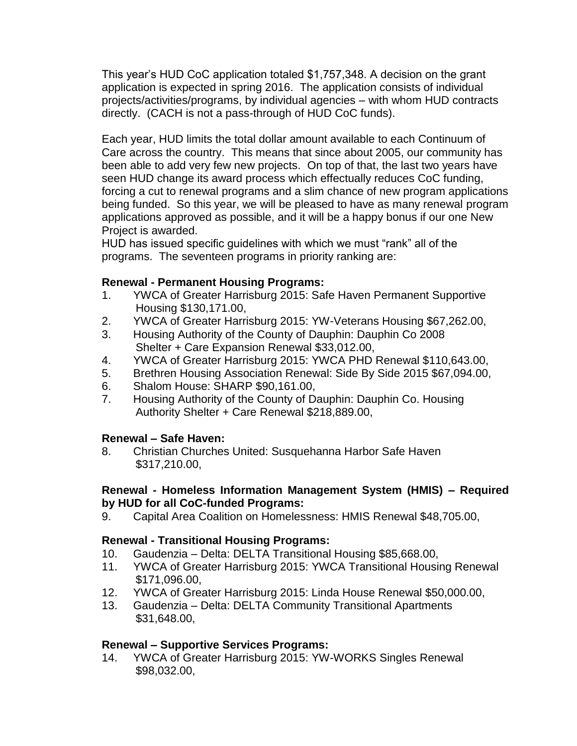This year's HUD CoC application totaled \$1,757,348. A decision on the grant application is expected in spring 2016. The application consists of individual projects/activities/programs, by individual agencies – with whom HUD contracts directly. (CACH is not a pass-through of HUD CoC funds).

Each year, HUD limits the total dollar amount available to each Continuum of Care across the country. This means that since about 2005, our community has been able to add very few new projects. On top of that, the last two years have seen HUD change its award process which effectually reduces CoC funding, forcing a cut to renewal programs and a slim chance of new program applications being funded. So this year, we will be pleased to have as many renewal program applications approved as possible, and it will be a happy bonus if our one New Project is awarded.

HUD has issued specific guidelines with which we must "rank" all of the programs. The seventeen programs in priority ranking are:

# **Renewal - Permanent Housing Programs:**

- 1. YWCA of Greater Harrisburg 2015: Safe Haven Permanent Supportive Housing \$130,171.00,
- 2. YWCA of Greater Harrisburg 2015: YW-Veterans Housing \$67,262.00,
- 3. Housing Authority of the County of Dauphin: Dauphin Co 2008 Shelter + Care Expansion Renewal \$33,012.00,
- 4. YWCA of Greater Harrisburg 2015: YWCA PHD Renewal \$110,643.00,
- 5. Brethren Housing Association Renewal: Side By Side 2015 \$67,094.00,
- 6. Shalom House: SHARP \$90,161.00,
- 7. Housing Authority of the County of Dauphin: Dauphin Co. Housing Authority Shelter + Care Renewal \$218,889.00,

#### **Renewal – Safe Haven:**

8. Christian Churches United: Susquehanna Harbor Safe Haven \$317,210.00,

#### **Renewal - Homeless Information Management System (HMIS) – Required by HUD for all CoC-funded Programs:**

9. Capital Area Coalition on Homelessness: HMIS Renewal \$48,705.00,

# **Renewal - Transitional Housing Programs:**

- 10. Gaudenzia Delta: DELTA Transitional Housing \$85,668.00,
- 11. YWCA of Greater Harrisburg 2015: YWCA Transitional Housing Renewal \$171,096.00,
- 12. YWCA of Greater Harrisburg 2015: Linda House Renewal \$50,000.00,
- 13. Gaudenzia Delta: DELTA Community Transitional Apartments \$31,648.00,

# **Renewal – Supportive Services Programs:**

14. YWCA of Greater Harrisburg 2015: YW-WORKS Singles Renewal \$98,032.00,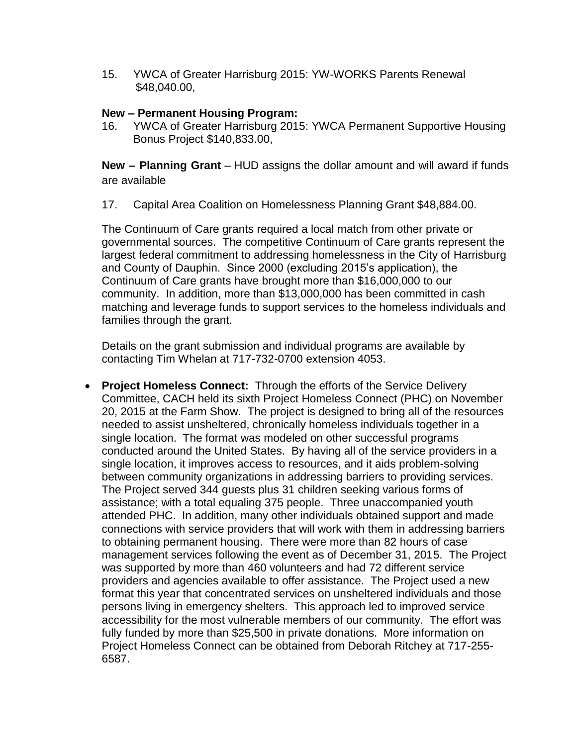15. YWCA of Greater Harrisburg 2015: YW-WORKS Parents Renewal \$48,040.00,

#### **New – Permanent Housing Program:**

16. YWCA of Greater Harrisburg 2015: YWCA Permanent Supportive Housing Bonus Project \$140,833.00,

**New – Planning Grant** – HUD assigns the dollar amount and will award if funds are available

17. Capital Area Coalition on Homelessness Planning Grant \$48,884.00.

The Continuum of Care grants required a local match from other private or governmental sources. The competitive Continuum of Care grants represent the largest federal commitment to addressing homelessness in the City of Harrisburg and County of Dauphin. Since 2000 (excluding 2015's application), the Continuum of Care grants have brought more than \$16,000,000 to our community. In addition, more than \$13,000,000 has been committed in cash matching and leverage funds to support services to the homeless individuals and families through the grant.

Details on the grant submission and individual programs are available by contacting Tim Whelan at 717-732-0700 extension 4053.

 **Project Homeless Connect:** Through the efforts of the Service Delivery Committee, CACH held its sixth Project Homeless Connect (PHC) on November 20, 2015 at the Farm Show. The project is designed to bring all of the resources needed to assist unsheltered, chronically homeless individuals together in a single location. The format was modeled on other successful programs conducted around the United States. By having all of the service providers in a single location, it improves access to resources, and it aids problem-solving between community organizations in addressing barriers to providing services. The Project served 344 guests plus 31 children seeking various forms of assistance; with a total equaling 375 people. Three unaccompanied youth attended PHC. In addition, many other individuals obtained support and made connections with service providers that will work with them in addressing barriers to obtaining permanent housing. There were more than 82 hours of case management services following the event as of December 31, 2015. The Project was supported by more than 460 volunteers and had 72 different service providers and agencies available to offer assistance. The Project used a new format this year that concentrated services on unsheltered individuals and those persons living in emergency shelters. This approach led to improved service accessibility for the most vulnerable members of our community. The effort was fully funded by more than \$25,500 in private donations. More information on Project Homeless Connect can be obtained from Deborah Ritchey at 717-255- 6587.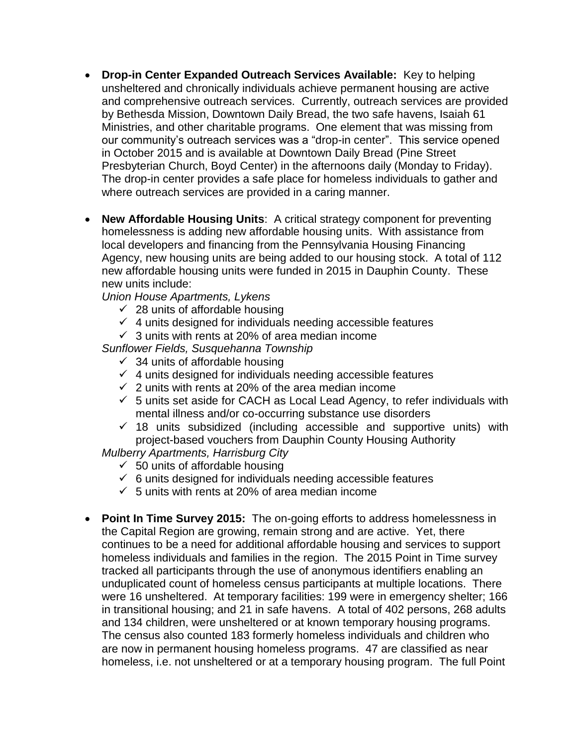- **Drop-in Center Expanded Outreach Services Available:** Key to helping unsheltered and chronically individuals achieve permanent housing are active and comprehensive outreach services. Currently, outreach services are provided by Bethesda Mission, Downtown Daily Bread, the two safe havens, Isaiah 61 Ministries, and other charitable programs. One element that was missing from our community's outreach services was a "drop-in center". This service opened in October 2015 and is available at Downtown Daily Bread (Pine Street Presbyterian Church, Boyd Center) in the afternoons daily (Monday to Friday). The drop-in center provides a safe place for homeless individuals to gather and where outreach services are provided in a caring manner.
- **New Affordable Housing Units**: A critical strategy component for preventing homelessness is adding new affordable housing units. With assistance from local developers and financing from the Pennsylvania Housing Financing Agency, new housing units are being added to our housing stock. A total of 112 new affordable housing units were funded in 2015 in Dauphin County. These new units include:

*Union House Apartments, Lykens*

- $\checkmark$  28 units of affordable housing
- $\checkmark$  4 units designed for individuals needing accessible features
- $\checkmark$  3 units with rents at 20% of area median income

*Sunflower Fields, Susquehanna Township*

- $\checkmark$  34 units of affordable housing
- $\checkmark$  4 units designed for individuals needing accessible features
- $\checkmark$  2 units with rents at 20% of the area median income
- $\checkmark$  5 units set aside for CACH as Local Lead Agency, to refer individuals with mental illness and/or co-occurring substance use disorders
- $\checkmark$  18 units subsidized (including accessible and supportive units) with project-based vouchers from Dauphin County Housing Authority

*Mulberry Apartments, Harrisburg City*

- $\checkmark$  50 units of affordable housing
- $6$  units designed for individuals needing accessible features
- $\checkmark$  5 units with rents at 20% of area median income
- **Point In Time Survey 2015:** The on-going efforts to address homelessness in the Capital Region are growing, remain strong and are active. Yet, there continues to be a need for additional affordable housing and services to support homeless individuals and families in the region. The 2015 Point in Time survey tracked all participants through the use of anonymous identifiers enabling an unduplicated count of homeless census participants at multiple locations. There were 16 unsheltered. At temporary facilities: 199 were in emergency shelter; 166 in transitional housing; and 21 in safe havens. A total of 402 persons, 268 adults and 134 children, were unsheltered or at known temporary housing programs. The census also counted 183 formerly homeless individuals and children who are now in permanent housing homeless programs. 47 are classified as near homeless, i.e. not unsheltered or at a temporary housing program. The full Point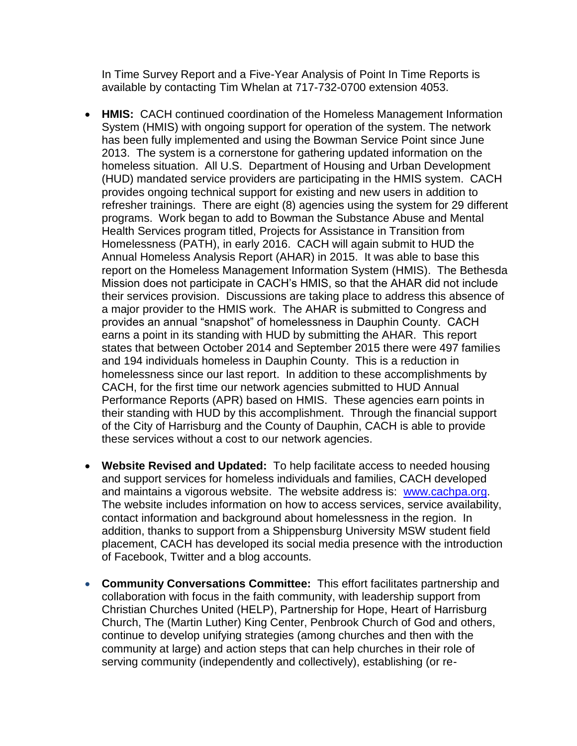In Time Survey Report and a Five-Year Analysis of Point In Time Reports is available by contacting Tim Whelan at 717-732-0700 extension 4053.

- **HMIS:** CACH continued coordination of the Homeless Management Information System (HMIS) with ongoing support for operation of the system. The network has been fully implemented and using the Bowman Service Point since June 2013. The system is a cornerstone for gathering updated information on the homeless situation. All U.S. Department of Housing and Urban Development (HUD) mandated service providers are participating in the HMIS system. CACH provides ongoing technical support for existing and new users in addition to refresher trainings. There are eight (8) agencies using the system for 29 different programs. Work began to add to Bowman the Substance Abuse and Mental Health Services program titled, Projects for Assistance in Transition from Homelessness (PATH), in early 2016. CACH will again submit to HUD the Annual Homeless Analysis Report (AHAR) in 2015. It was able to base this report on the Homeless Management Information System (HMIS). The Bethesda Mission does not participate in CACH's HMIS, so that the AHAR did not include their services provision. Discussions are taking place to address this absence of a major provider to the HMIS work. The AHAR is submitted to Congress and provides an annual "snapshot" of homelessness in Dauphin County. CACH earns a point in its standing with HUD by submitting the AHAR. This report states that between October 2014 and September 2015 there were 497 families and 194 individuals homeless in Dauphin County. This is a reduction in homelessness since our last report. In addition to these accomplishments by CACH, for the first time our network agencies submitted to HUD Annual Performance Reports (APR) based on HMIS. These agencies earn points in their standing with HUD by this accomplishment. Through the financial support of the City of Harrisburg and the County of Dauphin, CACH is able to provide these services without a cost to our network agencies.
- **Website Revised and Updated:** To help facilitate access to needed housing and support services for homeless individuals and families, CACH developed and maintains a vigorous website. The website address is: [www.cachpa.org.](http://www.cachpa.org/) The website includes information on how to access services, service availability, contact information and background about homelessness in the region. In addition, thanks to support from a Shippensburg University MSW student field placement, CACH has developed its social media presence with the introduction of Facebook, Twitter and a blog accounts.
- **Community Conversations Committee:** This effort facilitates partnership and collaboration with focus in the faith community, with leadership support from Christian Churches United (HELP), Partnership for Hope, Heart of Harrisburg Church, The (Martin Luther) King Center, Penbrook Church of God and others, continue to develop unifying strategies (among churches and then with the community at large) and action steps that can help churches in their role of serving community (independently and collectively), establishing (or re-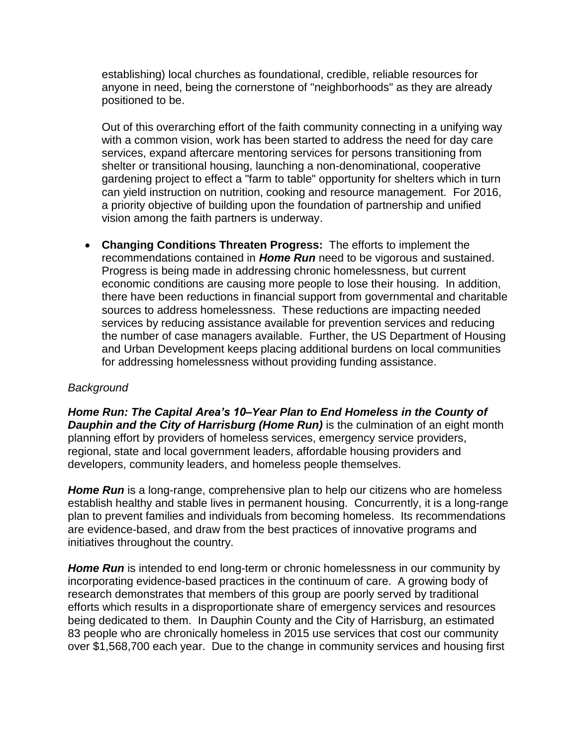establishing) local churches as foundational, credible, reliable resources for anyone in need, being the cornerstone of "neighborhoods" as they are already positioned to be.

Out of this overarching effort of the faith community connecting in a unifying way with a common vision, work has been started to address the need for day care services, expand aftercare mentoring services for persons transitioning from shelter or transitional housing, launching a non-denominational, cooperative gardening project to effect a "farm to table" opportunity for shelters which in turn can yield instruction on nutrition, cooking and resource management. For 2016, a priority objective of building upon the foundation of partnership and unified vision among the faith partners is underway.

 **Changing Conditions Threaten Progress:** The efforts to implement the recommendations contained in *Home Run* need to be vigorous and sustained. Progress is being made in addressing chronic homelessness, but current economic conditions are causing more people to lose their housing. In addition, there have been reductions in financial support from governmental and charitable sources to address homelessness. These reductions are impacting needed services by reducing assistance available for prevention services and reducing the number of case managers available. Further, the US Department of Housing and Urban Development keeps placing additional burdens on local communities for addressing homelessness without providing funding assistance.

# *Background*

*Home Run: The Capital Area's 10–Year Plan to End Homeless in the County of Dauphin and the City of Harrisburg (Home Run)* is the culmination of an eight month planning effort by providers of homeless services, emergency service providers, regional, state and local government leaders, affordable housing providers and developers, community leaders, and homeless people themselves.

*Home Run* is a long-range, comprehensive plan to help our citizens who are homeless establish healthy and stable lives in permanent housing. Concurrently, it is a long-range plan to prevent families and individuals from becoming homeless. Its recommendations are evidence-based, and draw from the best practices of innovative programs and initiatives throughout the country.

*Home Run* is intended to end long-term or chronic homelessness in our community by incorporating evidence-based practices in the continuum of care. A growing body of research demonstrates that members of this group are poorly served by traditional efforts which results in a disproportionate share of emergency services and resources being dedicated to them. In Dauphin County and the City of Harrisburg, an estimated 83 people who are chronically homeless in 2015 use services that cost our community over \$1,568,700 each year. Due to the change in community services and housing first